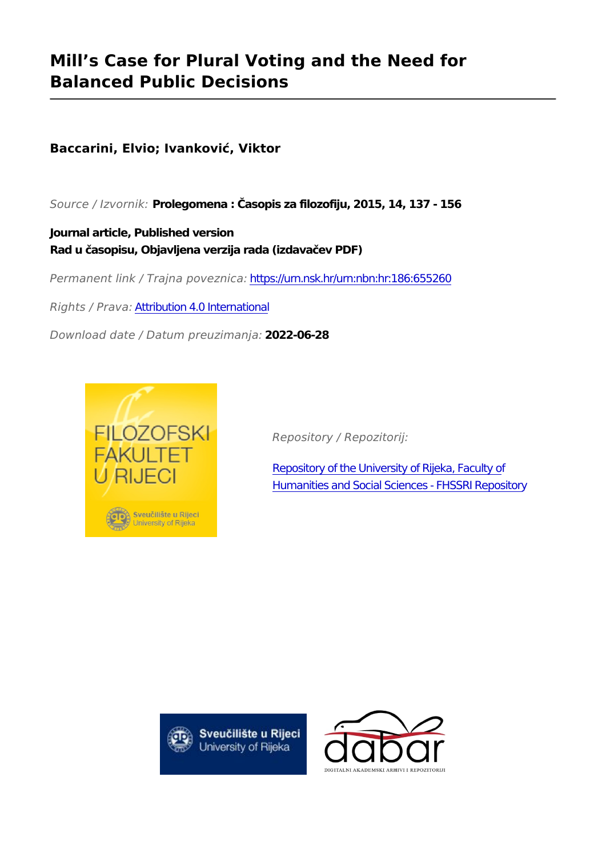# **Mill's Case for Plural Voting and the Need for Balanced Public Decisions**

## **Baccarini, Elvio; Ivanković, Viktor**

*Source / Izvornik:* **Prolegomena : Časopis za filozofiju, 2015, 14, 137 - 156**

**Journal article, Published version Rad u časopisu, Objavljena verzija rada (izdavačev PDF)**

*Permanent link / Trajna poveznica:* <https://urn.nsk.hr/urn:nbn:hr:186:655260>

*Rights / Prava:* [Attribution 4.0 International](http://creativecommons.org/licenses/by/4.0/)

*Download date / Datum preuzimanja:* **2022-06-28**



*Repository / Repozitorij:*

[Repository of the University of Rijeka, Faculty of](https://repository.ffri.uniri.hr) [Humanities and Social Sciences - FHSSRI Repository](https://repository.ffri.uniri.hr)



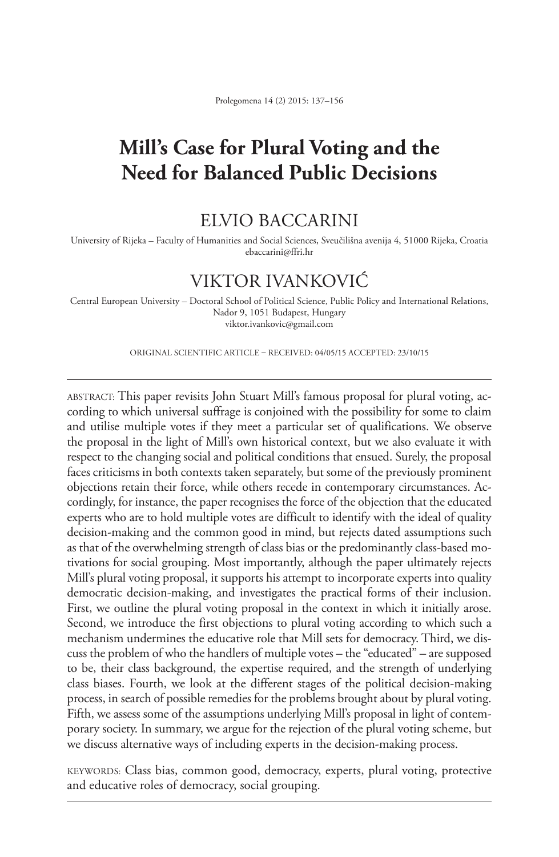## **Mill's Case for Plural Voting and the Need for Balanced Public Decisions**

#### Elvio Baccarini

University of Rijeka – Faculty of Humanities and Social Sciences, Sveučilišna avenija 4, 51000 Rijeka, Croatia ebaccarini@ffri.hr

### Viktor Ivanković

Central European University – Doctoral School of Political Science, Public Policy and International Relations, Nador 9, 1051 Budapest, Hungary viktor.ivankovic@gmail.com

ORIGINAL SCIENTIFIC ARTICLE – RECEIVED: 04/05/15 ACCEPTED: 23/10/15

Abstract: This paper revisits John Stuart Mill's famous proposal for plural voting, according to which universal suffrage is conjoined with the possibility for some to claim and utilise multiple votes if they meet a particular set of qualifications. We observe the proposal in the light of Mill's own historical context, but we also evaluate it with respect to the changing social and political conditions that ensued. Surely, the proposal faces criticisms in both contexts taken separately, but some of the previously prominent objections retain their force, while others recede in contemporary circumstances. Accordingly, for instance, the paper recognises the force of the objection that the educated experts who are to hold multiple votes are difficult to identify with the ideal of quality decision-making and the common good in mind, but rejects dated assumptions such as that of the overwhelming strength of class bias or the predominantly class-based motivations for social grouping. Most importantly, although the paper ultimately rejects Mill's plural voting proposal, it supports his attempt to incorporate experts into quality democratic decision-making, and investigates the practical forms of their inclusion. First, we outline the plural voting proposal in the context in which it initially arose. Second, we introduce the first objections to plural voting according to which such a mechanism undermines the educative role that Mill sets for democracy. Third, we discuss the problem of who the handlers of multiple votes – the "educated" – are supposed to be, their class background, the expertise required, and the strength of underlying class biases. Fourth, we look at the different stages of the political decision-making process, in search of possible remedies for the problems brought about by plural voting. Fifth, we assess some of the assumptions underlying Mill's proposal in light of contemporary society. In summary, we argue for the rejection of the plural voting scheme, but we discuss alternative ways of including experts in the decision-making process.

Keywords: Class bias, common good, democracy, experts, plural voting, protective and educative roles of democracy, social grouping.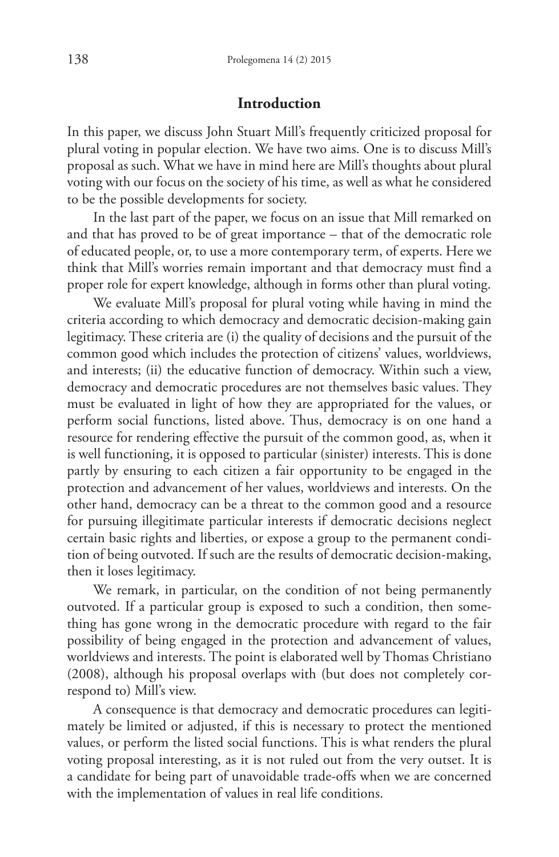#### **Introduction**

In this paper, we discuss John Stuart Mill's frequently criticized proposal for plural voting in popular election. We have two aims. One is to discuss Mill's proposal as such. What we have in mind here are Mill's thoughts about plural voting with our focus on the society of his time, as well as what he considered to be the possible developments for society.

In the last part of the paper, we focus on an issue that Mill remarked on and that has proved to be of great importance – that of the democratic role of educated people, or, to use a more contemporary term, of experts. Here we think that Mill's worries remain important and that democracy must find a proper role for expert knowledge, although in forms other than plural voting.

We evaluate Mill's proposal for plural voting while having in mind the criteria according to which democracy and democratic decision-making gain legitimacy. These criteria are (i) the quality of decisions and the pursuit of the common good which includes the protection of citizens' values, worldviews, and interests; (ii) the educative function of democracy. Within such a view, democracy and democratic procedures are not themselves basic values. They must be evaluated in light of how they are appropriated for the values, or perform social functions, listed above. Thus, democracy is on one hand a resource for rendering effective the pursuit of the common good, as, when it is well functioning, it is opposed to particular (sinister) interests. This is done partly by ensuring to each citizen a fair opportunity to be engaged in the protection and advancement of her values, worldviews and interests. On the other hand, democracy can be a threat to the common good and a resource for pursuing illegitimate particular interests if democratic decisions neglect certain basic rights and liberties, or expose a group to the permanent condition of being outvoted. If such are the results of democratic decision-making, then it loses legitimacy.

We remark, in particular, on the condition of not being permanently outvoted. If a particular group is exposed to such a condition, then something has gone wrong in the democratic procedure with regard to the fair possibility of being engaged in the protection and advancement of values, worldviews and interests. The point is elaborated well by Thomas Christiano (2008), although his proposal overlaps with (but does not completely correspond to) Mill's view.

A consequence is that democracy and democratic procedures can legitimately be limited or adjusted, if this is necessary to protect the mentioned values, or perform the listed social functions. This is what renders the plural voting proposal interesting, as it is not ruled out from the very outset. It is a candidate for being part of unavoidable trade-offs when we are concerned with the implementation of values in real life conditions.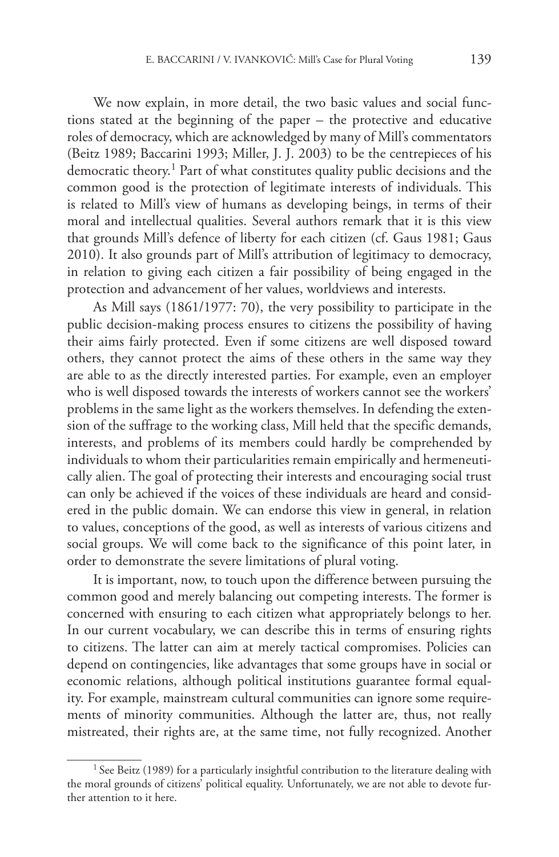We now explain, in more detail, the two basic values and social functions stated at the beginning of the paper – the protective and educative roles of democracy, which are acknowledged by many of Mill's commentators (Beitz 1989; Baccarini 1993; Miller, J. J. 2003) to be the centrepieces of his democratic theory. 1 Part of what constitutes quality public decisions and the common good is the protection of legitimate interests of individuals. This is related to Mill's view of humans as developing beings, in terms of their moral and intellectual qualities. Several authors remark that it is this view that grounds Mill's defence of liberty for each citizen (cf. Gaus 1981; Gaus 2010). It also grounds part of Mill's attribution of legitimacy to democracy, in relation to giving each citizen a fair possibility of being engaged in the protection and advancement of her values, worldviews and interests.

As Mill says (1861/1977: 70), the very possibility to participate in the public decision-making process ensures to citizens the possibility of having their aims fairly protected. Even if some citizens are well disposed toward others, they cannot protect the aims of these others in the same way they are able to as the directly interested parties. For example, even an employer who is well disposed towards the interests of workers cannot see the workers' problems in the same light as the workers themselves. In defending the extension of the suffrage to the working class, Mill held that the specific demands, interests, and problems of its members could hardly be comprehended by individuals to whom their particularities remain empirically and hermeneutically alien. The goal of protecting their interests and encouraging social trust can only be achieved if the voices of these individuals are heard and considered in the public domain. We can endorse this view in general, in relation to values, conceptions of the good, as well as interests of various citizens and social groups. We will come back to the significance of this point later, in order to demonstrate the severe limitations of plural voting.

It is important, now, to touch upon the difference between pursuing the common good and merely balancing out competing interests. The former is concerned with ensuring to each citizen what appropriately belongs to her. In our current vocabulary, we can describe this in terms of ensuring rights to citizens. The latter can aim at merely tactical compromises. Policies can depend on contingencies, like advantages that some groups have in social or economic relations, although political institutions guarantee formal equality. For example, mainstream cultural communities can ignore some requirements of minority communities. Although the latter are, thus, not really mistreated, their rights are, at the same time, not fully recognized. Another

 $1$  See Beitz (1989) for a particularly insightful contribution to the literature dealing with the moral grounds of citizens' political equality. Unfortunately, we are not able to devote further attention to it here.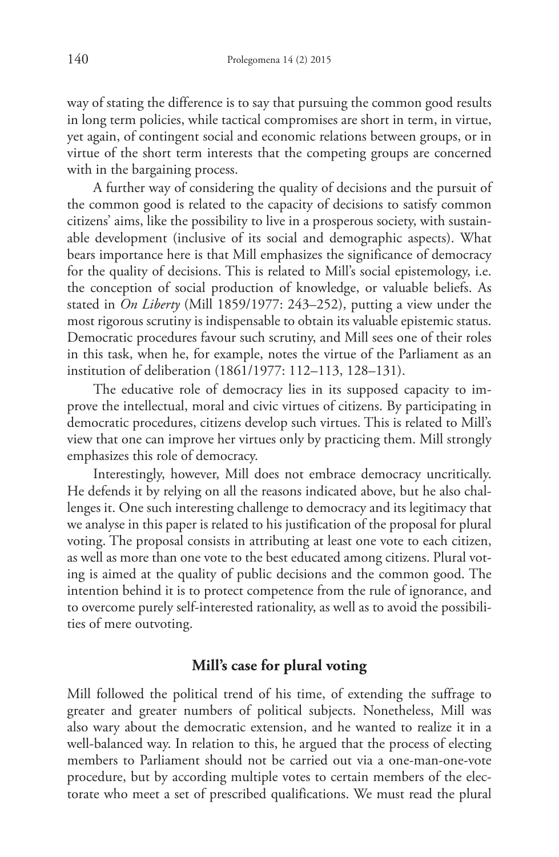way of stating the difference is to say that pursuing the common good results in long term policies, while tactical compromises are short in term, in virtue, yet again, of contingent social and economic relations between groups, or in virtue of the short term interests that the competing groups are concerned with in the bargaining process.

A further way of considering the quality of decisions and the pursuit of the common good is related to the capacity of decisions to satisfy common citizens' aims, like the possibility to live in a prosperous society, with sustainable development (inclusive of its social and demographic aspects). What bears importance here is that Mill emphasizes the significance of democracy for the quality of decisions. This is related to Mill's social epistemology, i.e. the conception of social production of knowledge, or valuable beliefs. As stated in *On Liberty* (Mill 1859/1977: 243–252), putting a view under the most rigorous scrutiny is indispensable to obtain its valuable epistemic status. Democratic procedures favour such scrutiny, and Mill sees one of their roles in this task, when he, for example, notes the virtue of the Parliament as an institution of deliberation (1861/1977: 112–113, 128–131).

The educative role of democracy lies in its supposed capacity to improve the intellectual, moral and civic virtues of citizens. By participating in democratic procedures, citizens develop such virtues. This is related to Mill's view that one can improve her virtues only by practicing them. Mill strongly emphasizes this role of democracy.

Interestingly, however, Mill does not embrace democracy uncritically. He defends it by relying on all the reasons indicated above, but he also challenges it. One such interesting challenge to democracy and its legitimacy that we analyse in this paper is related to his justification of the proposal for plural voting. The proposal consists in attributing at least one vote to each citizen, as well as more than one vote to the best educated among citizens. Plural voting is aimed at the quality of public decisions and the common good. The intention behind it is to protect competence from the rule of ignorance, and to overcome purely self-interested rationality, as well as to avoid the possibilities of mere outvoting.

#### **Mill's case for plural voting**

Mill followed the political trend of his time, of extending the suffrage to greater and greater numbers of political subjects. Nonetheless, Mill was also wary about the democratic extension, and he wanted to realize it in a well-balanced way. In relation to this, he argued that the process of electing members to Parliament should not be carried out via a one-man-one-vote procedure, but by according multiple votes to certain members of the electorate who meet a set of prescribed qualifications. We must read the plural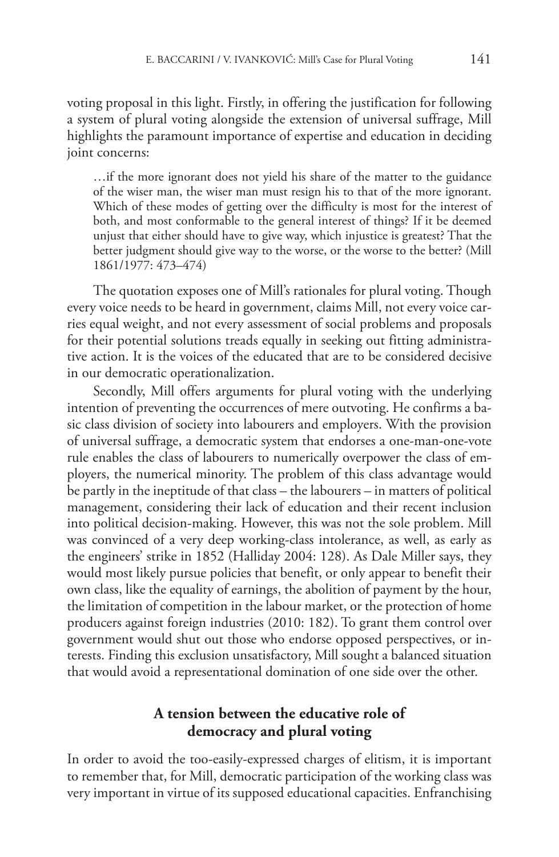voting proposal in this light. Firstly, in offering the justification for following a system of plural voting alongside the extension of universal suffrage, Mill highlights the paramount importance of expertise and education in deciding joint concerns:

…if the more ignorant does not yield his share of the matter to the guidance of the wiser man, the wiser man must resign his to that of the more ignorant. Which of these modes of getting over the difficulty is most for the interest of both, and most conformable to the general interest of things? If it be deemed unjust that either should have to give way, which injustice is greatest? That the better judgment should give way to the worse, or the worse to the better? (Mill 1861/1977: 473–474)

The quotation exposes one of Mill's rationales for plural voting. Though every voice needs to be heard in government, claims Mill, not every voice carries equal weight, and not every assessment of social problems and proposals for their potential solutions treads equally in seeking out fitting administrative action. It is the voices of the educated that are to be considered decisive in our democratic operationalization.

Secondly, Mill offers arguments for plural voting with the underlying intention of preventing the occurrences of mere outvoting. He confirms a basic class division of society into labourers and employers. With the provision of universal suffrage, a democratic system that endorses a one-man-one-vote rule enables the class of labourers to numerically overpower the class of employers, the numerical minority. The problem of this class advantage would be partly in the ineptitude of that class – the labourers – in matters of political management, considering their lack of education and their recent inclusion into political decision-making. However, this was not the sole problem. Mill was convinced of a very deep working-class intolerance, as well, as early as the engineers' strike in 1852 (Halliday 2004: 128). As Dale Miller says, they would most likely pursue policies that benefit, or only appear to benefit their own class, like the equality of earnings, the abolition of payment by the hour, the limitation of competition in the labour market, or the protection of home producers against foreign industries (2010: 182). To grant them control over government would shut out those who endorse opposed perspectives, or interests. Finding this exclusion unsatisfactory, Mill sought a balanced situation that would avoid a representational domination of one side over the other.

#### **A tension between the educative role of democracy and plural voting**

In order to avoid the too-easily-expressed charges of elitism, it is important to remember that, for Mill, democratic participation of the working class was very important in virtue of its supposed educational capacities. Enfranchising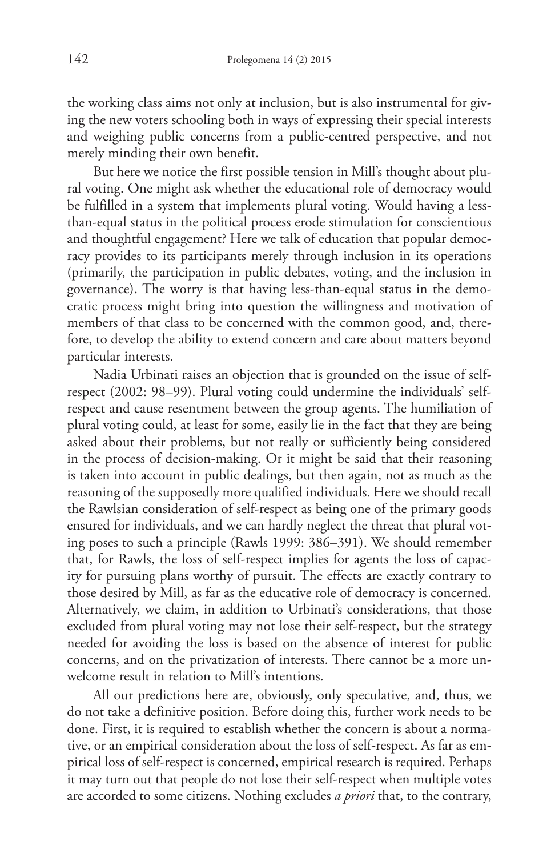the working class aims not only at inclusion, but is also instrumental for giving the new voters schooling both in ways of expressing their special interests and weighing public concerns from a public-centred perspective, and not merely minding their own benefit.

But here we notice the first possible tension in Mill's thought about plural voting. One might ask whether the educational role of democracy would be fulfilled in a system that implements plural voting. Would having a lessthan-equal status in the political process erode stimulation for conscientious and thoughtful engagement? Here we talk of education that popular democracy provides to its participants merely through inclusion in its operations (primarily, the participation in public debates, voting, and the inclusion in governance). The worry is that having less-than-equal status in the democratic process might bring into question the willingness and motivation of members of that class to be concerned with the common good, and, therefore, to develop the ability to extend concern and care about matters beyond particular interests.

Nadia Urbinati raises an objection that is grounded on the issue of selfrespect (2002: 98–99). Plural voting could undermine the individuals' selfrespect and cause resentment between the group agents. The humiliation of plural voting could, at least for some, easily lie in the fact that they are being asked about their problems, but not really or sufficiently being considered in the process of decision-making. Or it might be said that their reasoning is taken into account in public dealings, but then again, not as much as the reasoning of the supposedly more qualified individuals. Here we should recall the Rawlsian consideration of self-respect as being one of the primary goods ensured for individuals, and we can hardly neglect the threat that plural voting poses to such a principle (Rawls 1999: 386–391). We should remember that, for Rawls, the loss of self-respect implies for agents the loss of capacity for pursuing plans worthy of pursuit. The effects are exactly contrary to those desired by Mill, as far as the educative role of democracy is concerned. Alternatively, we claim, in addition to Urbinati's considerations, that those excluded from plural voting may not lose their self-respect, but the strategy needed for avoiding the loss is based on the absence of interest for public concerns, and on the privatization of interests. There cannot be a more unwelcome result in relation to Mill's intentions.

All our predictions here are, obviously, only speculative, and, thus, we do not take a definitive position. Before doing this, further work needs to be done. First, it is required to establish whether the concern is about a normative, or an empirical consideration about the loss of self-respect. As far as empirical loss of self-respect is concerned, empirical research is required. Perhaps it may turn out that people do not lose their self-respect when multiple votes are accorded to some citizens. Nothing excludes *a priori* that, to the contrary,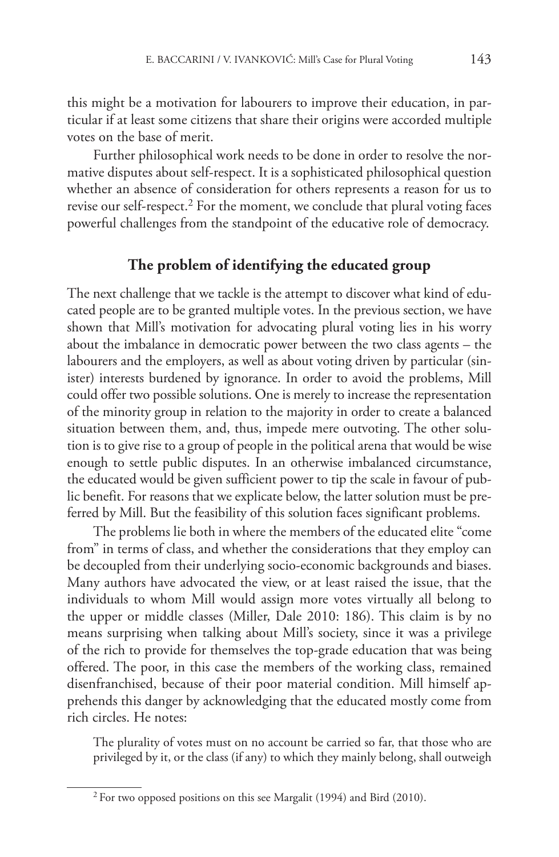this might be a motivation for labourers to improve their education, in particular if at least some citizens that share their origins were accorded multiple votes on the base of merit.

Further philosophical work needs to be done in order to resolve the normative disputes about self-respect. It is a sophisticated philosophical question whether an absence of consideration for others represents a reason for us to revise our self-respect. 2 For the moment, we conclude that plural voting faces powerful challenges from the standpoint of the educative role of democracy.

#### **The problem of identifying the educated group**

The next challenge that we tackle is the attempt to discover what kind of educated people are to be granted multiple votes. In the previous section, we have shown that Mill's motivation for advocating plural voting lies in his worry about the imbalance in democratic power between the two class agents – the labourers and the employers, as well as about voting driven by particular (sinister) interests burdened by ignorance. In order to avoid the problems, Mill could offer two possible solutions. One is merely to increase the representation of the minority group in relation to the majority in order to create a balanced situation between them, and, thus, impede mere outvoting. The other solution is to give rise to a group of people in the political arena that would be wise enough to settle public disputes. In an otherwise imbalanced circumstance, the educated would be given sufficient power to tip the scale in favour of public benefit. For reasons that we explicate below, the latter solution must be preferred by Mill. But the feasibility of this solution faces significant problems.

The problems lie both in where the members of the educated elite "come from" in terms of class, and whether the considerations that they employ can be decoupled from their underlying socio-economic backgrounds and biases. Many authors have advocated the view, or at least raised the issue, that the individuals to whom Mill would assign more votes virtually all belong to the upper or middle classes (Miller, Dale 2010: 186). This claim is by no means surprising when talking about Mill's society, since it was a privilege of the rich to provide for themselves the top-grade education that was being offered. The poor, in this case the members of the working class, remained disenfranchised, because of their poor material condition. Mill himself apprehends this danger by acknowledging that the educated mostly come from rich circles. He notes:

The plurality of votes must on no account be carried so far, that those who are privileged by it, or the class (if any) to which they mainly belong, shall outweigh

<sup>&</sup>lt;sup>2</sup> For two opposed positions on this see Margalit (1994) and Bird (2010).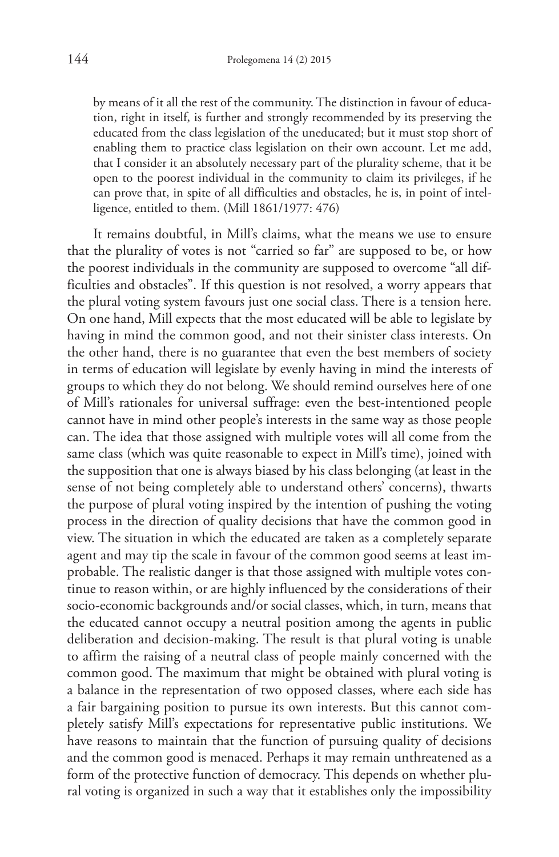by means of it all the rest of the community. The distinction in favour of education, right in itself, is further and strongly recommended by its preserving the educated from the class legislation of the uneducated; but it must stop short of enabling them to practice class legislation on their own account. Let me add, that I consider it an absolutely necessary part of the plurality scheme, that it be open to the poorest individual in the community to claim its privileges, if he can prove that, in spite of all difficulties and obstacles, he is, in point of intelligence, entitled to them. (Mill 1861/1977: 476)

It remains doubtful, in Mill's claims, what the means we use to ensure that the plurality of votes is not "carried so far" are supposed to be, or how the poorest individuals in the community are supposed to overcome "all difficulties and obstacles". If this question is not resolved, a worry appears that the plural voting system favours just one social class. There is a tension here. On one hand, Mill expects that the most educated will be able to legislate by having in mind the common good, and not their sinister class interests. On the other hand, there is no guarantee that even the best members of society in terms of education will legislate by evenly having in mind the interests of groups to which they do not belong. We should remind ourselves here of one of Mill's rationales for universal suffrage: even the best-intentioned people cannot have in mind other people's interests in the same way as those people can. The idea that those assigned with multiple votes will all come from the same class (which was quite reasonable to expect in Mill's time), joined with the supposition that one is always biased by his class belonging (at least in the sense of not being completely able to understand others' concerns), thwarts the purpose of plural voting inspired by the intention of pushing the voting process in the direction of quality decisions that have the common good in view. The situation in which the educated are taken as a completely separate agent and may tip the scale in favour of the common good seems at least improbable. The realistic danger is that those assigned with multiple votes continue to reason within, or are highly influenced by the considerations of their socio-economic backgrounds and/or social classes, which, in turn, means that the educated cannot occupy a neutral position among the agents in public deliberation and decision-making. The result is that plural voting is unable to affirm the raising of a neutral class of people mainly concerned with the common good. The maximum that might be obtained with plural voting is a balance in the representation of two opposed classes, where each side has a fair bargaining position to pursue its own interests. But this cannot completely satisfy Mill's expectations for representative public institutions. We have reasons to maintain that the function of pursuing quality of decisions and the common good is menaced. Perhaps it may remain unthreatened as a form of the protective function of democracy. This depends on whether plural voting is organized in such a way that it establishes only the impossibility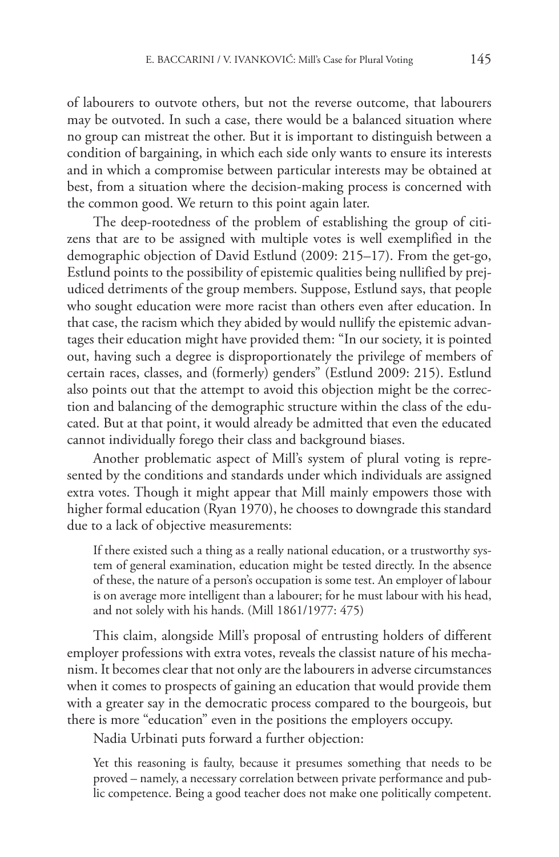of labourers to outvote others, but not the reverse outcome, that labourers may be outvoted. In such a case, there would be a balanced situation where no group can mistreat the other. But it is important to distinguish between a condition of bargaining, in which each side only wants to ensure its interests and in which a compromise between particular interests may be obtained at best, from a situation where the decision-making process is concerned with the common good. We return to this point again later.

The deep-rootedness of the problem of establishing the group of citizens that are to be assigned with multiple votes is well exemplified in the demographic objection of David Estlund (2009: 215–17). From the get-go, Estlund points to the possibility of epistemic qualities being nullified by prejudiced detriments of the group members. Suppose, Estlund says, that people who sought education were more racist than others even after education. In that case, the racism which they abided by would nullify the epistemic advantages their education might have provided them: "In our society, it is pointed out, having such a degree is disproportionately the privilege of members of certain races, classes, and (formerly) genders" (Estlund 2009: 215). Estlund also points out that the attempt to avoid this objection might be the correction and balancing of the demographic structure within the class of the educated. But at that point, it would already be admitted that even the educated cannot individually forego their class and background biases.

Another problematic aspect of Mill's system of plural voting is represented by the conditions and standards under which individuals are assigned extra votes. Though it might appear that Mill mainly empowers those with higher formal education (Ryan 1970), he chooses to downgrade this standard due to a lack of objective measurements:

If there existed such a thing as a really national education, or a trustworthy system of general examination, education might be tested directly. In the absence of these, the nature of a person's occupation is some test. An employer of labour is on average more intelligent than a labourer; for he must labour with his head, and not solely with his hands. (Mill 1861/1977: 475)

This claim, alongside Mill's proposal of entrusting holders of different employer professions with extra votes, reveals the classist nature of his mechanism. It becomes clear that not only are the labourers in adverse circumstances when it comes to prospects of gaining an education that would provide them with a greater say in the democratic process compared to the bourgeois, but there is more "education" even in the positions the employers occupy.

Nadia Urbinati puts forward a further objection:

Yet this reasoning is faulty, because it presumes something that needs to be proved – namely, a necessary correlation between private performance and public competence. Being a good teacher does not make one politically competent.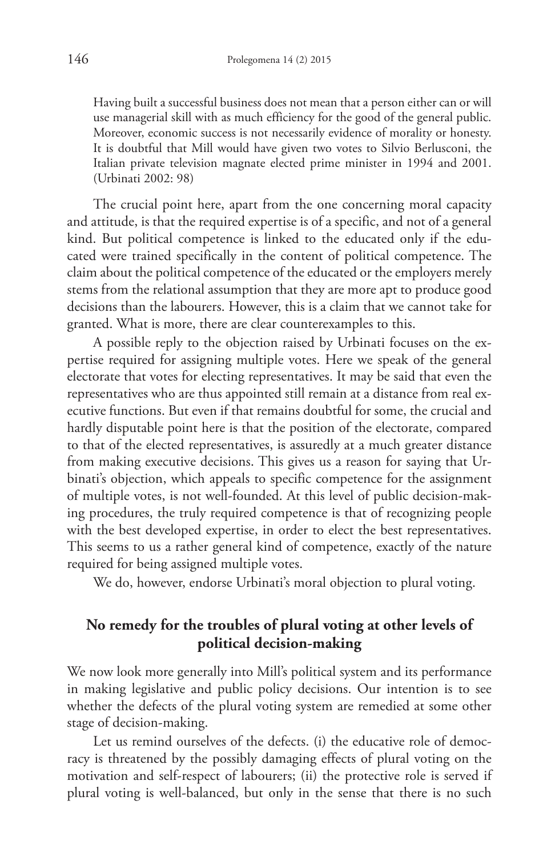Having built a successful business does not mean that a person either can or will use managerial skill with as much efficiency for the good of the general public. Moreover, economic success is not necessarily evidence of morality or honesty. It is doubtful that Mill would have given two votes to Silvio Berlusconi, the Italian private television magnate elected prime minister in 1994 and 2001. (Urbinati 2002: 98)

The crucial point here, apart from the one concerning moral capacity and attitude, is that the required expertise is of a specific, and not of a general kind. But political competence is linked to the educated only if the educated were trained specifically in the content of political competence. The claim about the political competence of the educated or the employers merely stems from the relational assumption that they are more apt to produce good decisions than the labourers. However, this is a claim that we cannot take for granted. What is more, there are clear counterexamples to this.

A possible reply to the objection raised by Urbinati focuses on the expertise required for assigning multiple votes. Here we speak of the general electorate that votes for electing representatives. It may be said that even the representatives who are thus appointed still remain at a distance from real executive functions. But even if that remains doubtful for some, the crucial and hardly disputable point here is that the position of the electorate, compared to that of the elected representatives, is assuredly at a much greater distance from making executive decisions. This gives us a reason for saying that Urbinati's objection, which appeals to specific competence for the assignment of multiple votes, is not well-founded. At this level of public decision-making procedures, the truly required competence is that of recognizing people with the best developed expertise, in order to elect the best representatives. This seems to us a rather general kind of competence, exactly of the nature required for being assigned multiple votes.

We do, however, endorse Urbinati's moral objection to plural voting.

#### **No remedy for the troubles of plural voting at other levels of political decision-making**

We now look more generally into Mill's political system and its performance in making legislative and public policy decisions. Our intention is to see whether the defects of the plural voting system are remedied at some other stage of decision-making.

Let us remind ourselves of the defects. (i) the educative role of democracy is threatened by the possibly damaging effects of plural voting on the motivation and self-respect of labourers; (ii) the protective role is served if plural voting is well-balanced, but only in the sense that there is no such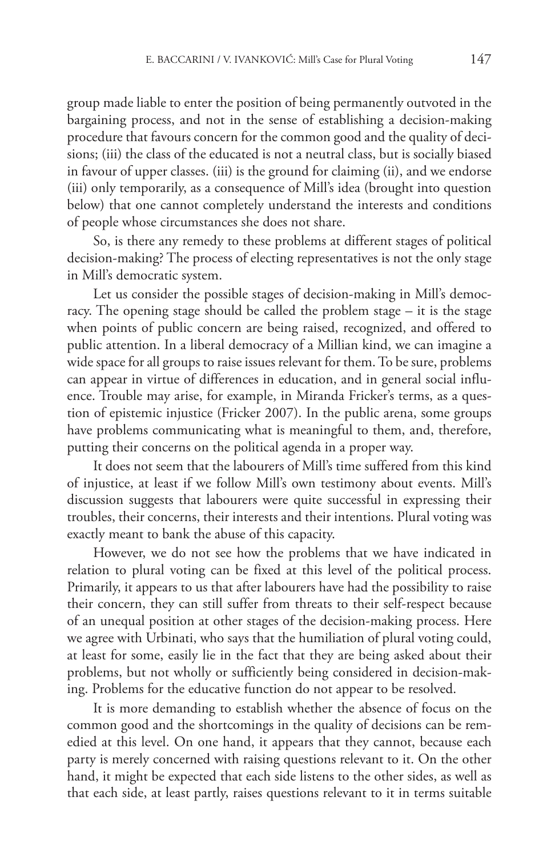group made liable to enter the position of being permanently outvoted in the bargaining process, and not in the sense of establishing a decision-making procedure that favours concern for the common good and the quality of decisions; (iii) the class of the educated is not a neutral class, but is socially biased in favour of upper classes. (iii) is the ground for claiming (ii), and we endorse (iii) only temporarily, as a consequence of Mill's idea (brought into question below) that one cannot completely understand the interests and conditions of people whose circumstances she does not share.

So, is there any remedy to these problems at different stages of political decision-making? The process of electing representatives is not the only stage in Mill's democratic system.

Let us consider the possible stages of decision-making in Mill's democracy. The opening stage should be called the problem stage – it is the stage when points of public concern are being raised, recognized, and offered to public attention. In a liberal democracy of a Millian kind, we can imagine a wide space for all groups to raise issues relevant for them.To be sure, problems can appear in virtue of differences in education, and in general social influence. Trouble may arise, for example, in Miranda Fricker's terms, as a question of epistemic injustice (Fricker 2007). In the public arena, some groups have problems communicating what is meaningful to them, and, therefore, putting their concerns on the political agenda in a proper way.

It does not seem that the labourers of Mill's time suffered from this kind of injustice, at least if we follow Mill's own testimony about events. Mill's discussion suggests that labourers were quite successful in expressing their troubles, their concerns, their interests and their intentions. Plural voting was exactly meant to bank the abuse of this capacity.

However, we do not see how the problems that we have indicated in relation to plural voting can be fixed at this level of the political process. Primarily, it appears to us that after labourers have had the possibility to raise their concern, they can still suffer from threats to their self-respect because of an unequal position at other stages of the decision-making process. Here we agree with Urbinati, who says that the humiliation of plural voting could, at least for some, easily lie in the fact that they are being asked about their problems, but not wholly or sufficiently being considered in decision-making. Problems for the educative function do not appear to be resolved.

It is more demanding to establish whether the absence of focus on the common good and the shortcomings in the quality of decisions can be remedied at this level. On one hand, it appears that they cannot, because each party is merely concerned with raising questions relevant to it. On the other hand, it might be expected that each side listens to the other sides, as well as that each side, at least partly, raises questions relevant to it in terms suitable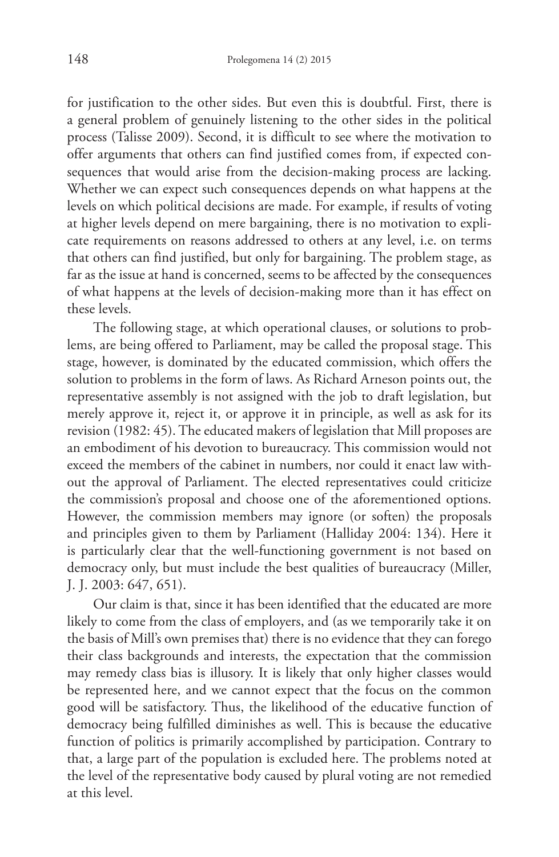for justification to the other sides. But even this is doubtful. First, there is a general problem of genuinely listening to the other sides in the political process (Talisse 2009). Second, it is difficult to see where the motivation to offer arguments that others can find justified comes from, if expected consequences that would arise from the decision-making process are lacking. Whether we can expect such consequences depends on what happens at the levels on which political decisions are made. For example, if results of voting at higher levels depend on mere bargaining, there is no motivation to explicate requirements on reasons addressed to others at any level, i.e. on terms that others can find justified, but only for bargaining. The problem stage, as far as the issue at hand is concerned, seems to be affected by the consequences of what happens at the levels of decision-making more than it has effect on these levels.

The following stage, at which operational clauses, or solutions to problems, are being offered to Parliament, may be called the proposal stage. This stage, however, is dominated by the educated commission, which offers the solution to problems in the form of laws. As Richard Arneson points out, the representative assembly is not assigned with the job to draft legislation, but merely approve it, reject it, or approve it in principle, as well as ask for its revision (1982: 45).The educated makers of legislation that Mill proposes are an embodiment of his devotion to bureaucracy. This commission would not exceed the members of the cabinet in numbers, nor could it enact law without the approval of Parliament. The elected representatives could criticize the commission's proposal and choose one of the aforementioned options. However, the commission members may ignore (or soften) the proposals and principles given to them by Parliament (Halliday 2004: 134). Here it is particularly clear that the well-functioning government is not based on democracy only, but must include the best qualities of bureaucracy (Miller, J. J. 2003: 647, 651).

Our claim is that, since it has been identified that the educated are more likely to come from the class of employers, and (as we temporarily take it on the basis of Mill's own premises that) there is no evidence that they can forego their class backgrounds and interests, the expectation that the commission may remedy class bias is illusory. It is likely that only higher classes would be represented here, and we cannot expect that the focus on the common good will be satisfactory. Thus, the likelihood of the educative function of democracy being fulfilled diminishes as well. This is because the educative function of politics is primarily accomplished by participation. Contrary to that, a large part of the population is excluded here. The problems noted at the level of the representative body caused by plural voting are not remedied at this level.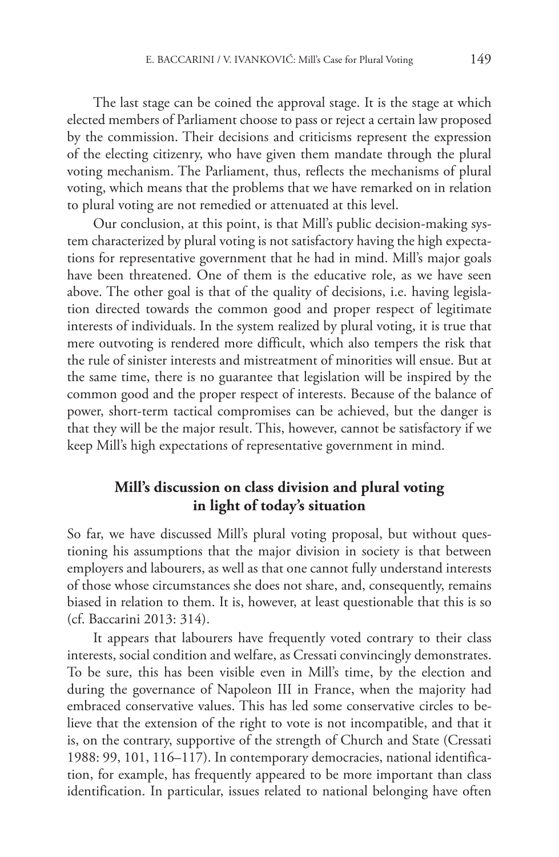The last stage can be coined the approval stage. It is the stage at which elected members of Parliament choose to pass or reject a certain law proposed by the commission. Their decisions and criticisms represent the expression of the electing citizenry, who have given them mandate through the plural voting mechanism. The Parliament, thus, reflects the mechanisms of plural voting, which means that the problems that we have remarked on in relation to plural voting are not remedied or attenuated at this level.

Our conclusion, at this point, is that Mill's public decision-making system characterized by plural voting is not satisfactory having the high expectations for representative government that he had in mind. Mill's major goals have been threatened. One of them is the educative role, as we have seen above. The other goal is that of the quality of decisions, i.e. having legislation directed towards the common good and proper respect of legitimate interests of individuals. In the system realized by plural voting, it is true that mere outvoting is rendered more difficult, which also tempers the risk that the rule of sinister interests and mistreatment of minorities will ensue. But at the same time, there is no guarantee that legislation will be inspired by the common good and the proper respect of interests. Because of the balance of power, short-term tactical compromises can be achieved, but the danger is that they will be the major result. This, however, cannot be satisfactory if we keep Mill's high expectations of representative government in mind.

#### **Mill's discussion on class division and plural voting in light of today's situation**

So far, we have discussed Mill's plural voting proposal, but without questioning his assumptions that the major division in society is that between employers and labourers, as well as that one cannot fully understand interests of those whose circumstances she does not share, and, consequently, remains biased in relation to them. It is, however, at least questionable that this is so (cf. Baccarini 2013: 314).

It appears that labourers have frequently voted contrary to their class interests, social condition and welfare, as Cressati convincingly demonstrates. To be sure, this has been visible even in Mill's time, by the election and during the governance of Napoleon III in France, when the majority had embraced conservative values. This has led some conservative circles to believe that the extension of the right to vote is not incompatible, and that it is, on the contrary, supportive of the strength of Church and State (Cressati 1988: 99, 101, 116–117). In contemporary democracies, national identification, for example, has frequently appeared to be more important than class identification. In particular, issues related to national belonging have often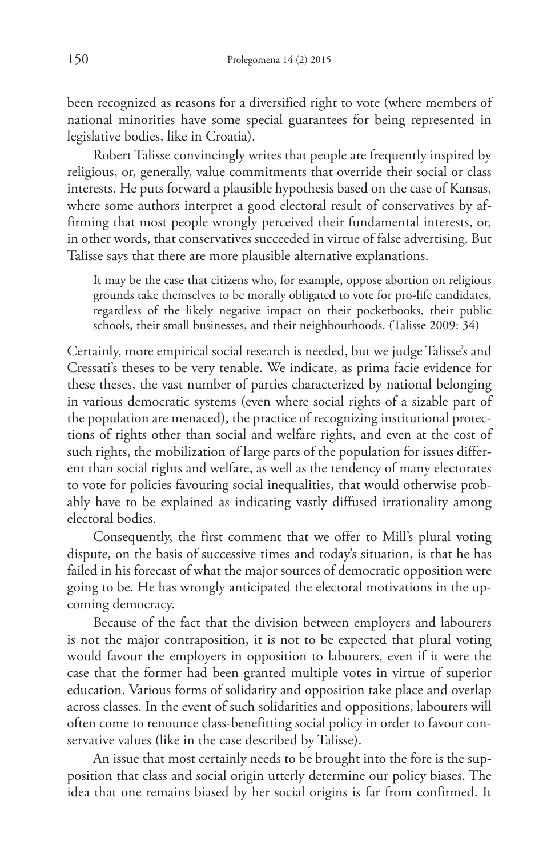been recognized as reasons for a diversified right to vote (where members of national minorities have some special guarantees for being represented in legislative bodies, like in Croatia).

Robert Talisse convincingly writes that people are frequently inspired by religious, or, generally, value commitments that override their social or class interests. He puts forward a plausible hypothesis based on the case of Kansas, where some authors interpret a good electoral result of conservatives by affirming that most people wrongly perceived their fundamental interests, or, in other words, that conservatives succeeded in virtue of false advertising. But Talisse says that there are more plausible alternative explanations.

It may be the case that citizens who, for example, oppose abortion on religious grounds take themselves to be morally obligated to vote for pro-life candidates, regardless of the likely negative impact on their pocketbooks, their public schools, their small businesses, and their neighbourhoods. (Talisse 2009: 34)

Certainly, more empirical social research is needed, but we judge Talisse's and Cressati's theses to be very tenable. We indicate, as prima facie evidence for these theses, the vast number of parties characterized by national belonging in various democratic systems (even where social rights of a sizable part of the population are menaced), the practice of recognizing institutional protections of rights other than social and welfare rights, and even at the cost of such rights, the mobilization of large parts of the population for issues different than social rights and welfare, as well as the tendency of many electorates to vote for policies favouring social inequalities, that would otherwise probably have to be explained as indicating vastly diffused irrationality among electoral bodies.

Consequently, the first comment that we offer to Mill's plural voting dispute, on the basis of successive times and today's situation, is that he has failed in his forecast of what the major sources of democratic opposition were going to be. He has wrongly anticipated the electoral motivations in the upcoming democracy.

Because of the fact that the division between employers and labourers is not the major contraposition, it is not to be expected that plural voting would favour the employers in opposition to labourers, even if it were the case that the former had been granted multiple votes in virtue of superior education. Various forms of solidarity and opposition take place and overlap across classes. In the event of such solidarities and oppositions, labourers will often come to renounce class-benefitting social policy in order to favour conservative values (like in the case described by Talisse).

An issue that most certainly needs to be brought into the fore is the supposition that class and social origin utterly determine our policy biases. The idea that one remains biased by her social origins is far from confirmed. It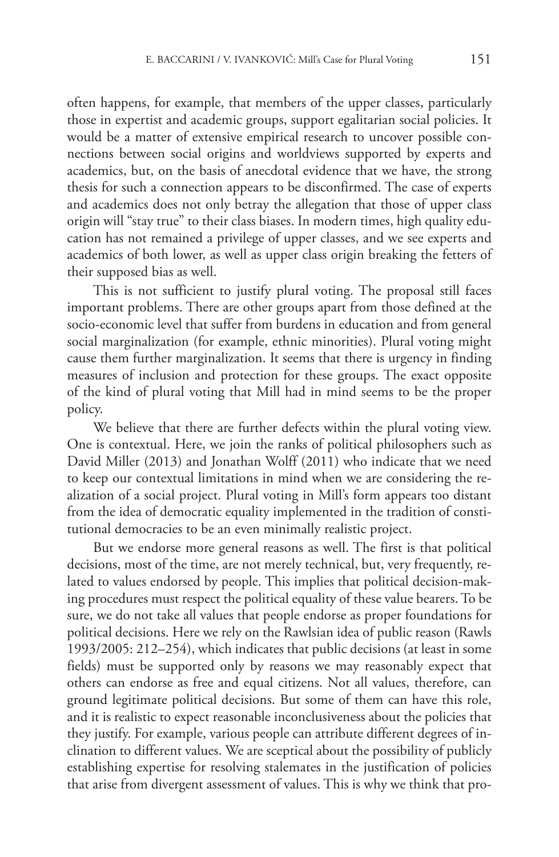often happens, for example, that members of the upper classes, particularly those in expertist and academic groups, support egalitarian social policies. It would be a matter of extensive empirical research to uncover possible connections between social origins and worldviews supported by experts and academics, but, on the basis of anecdotal evidence that we have, the strong thesis for such a connection appears to be disconfirmed. The case of experts and academics does not only betray the allegation that those of upper class origin will "stay true" to their class biases. In modern times, high quality education has not remained a privilege of upper classes, and we see experts and academics of both lower, as well as upper class origin breaking the fetters of their supposed bias as well.

This is not sufficient to justify plural voting. The proposal still faces important problems. There are other groups apart from those defined at the socio-economic level that suffer from burdens in education and from general social marginalization (for example, ethnic minorities). Plural voting might cause them further marginalization. It seems that there is urgency in finding measures of inclusion and protection for these groups. The exact opposite of the kind of plural voting that Mill had in mind seems to be the proper policy.

We believe that there are further defects within the plural voting view. One is contextual. Here, we join the ranks of political philosophers such as David Miller (2013) and Jonathan Wolff (2011) who indicate that we need to keep our contextual limitations in mind when we are considering the realization of a social project. Plural voting in Mill's form appears too distant from the idea of democratic equality implemented in the tradition of constitutional democracies to be an even minimally realistic project.

But we endorse more general reasons as well. The first is that political decisions, most of the time, are not merely technical, but, very frequently, related to values endorsed by people. This implies that political decision-making procedures must respect the political equality of these value bearers.To be sure, we do not take all values that people endorse as proper foundations for political decisions. Here we rely on the Rawlsian idea of public reason (Rawls 1993/2005: 212–254), which indicates that public decisions (at least in some fields) must be supported only by reasons we may reasonably expect that others can endorse as free and equal citizens. Not all values, therefore, can ground legitimate political decisions. But some of them can have this role, and it is realistic to expect reasonable inconclusiveness about the policies that they justify. For example, various people can attribute different degrees of inclination to different values. We are sceptical about the possibility of publicly establishing expertise for resolving stalemates in the justification of policies that arise from divergent assessment of values. This is why we think that pro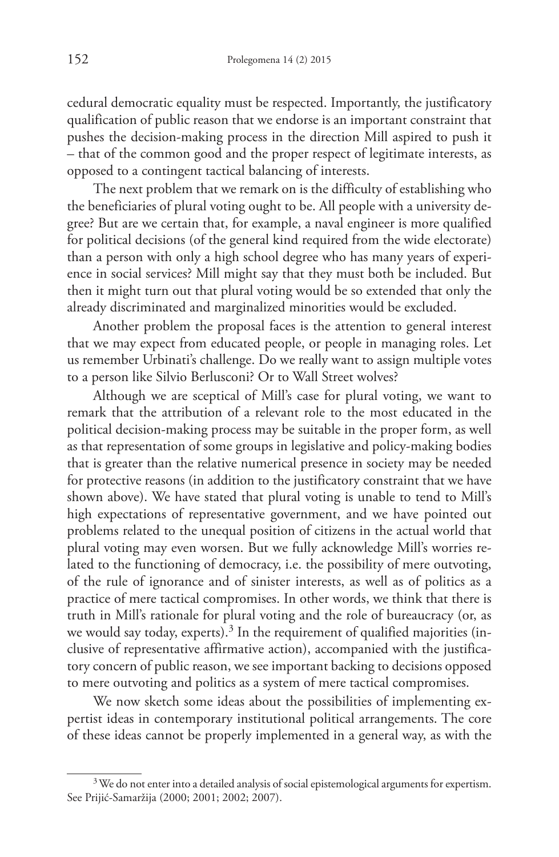cedural democratic equality must be respected. Importantly, the justificatory qualification of public reason that we endorse is an important constraint that pushes the decision-making process in the direction Mill aspired to push it – that of the common good and the proper respect of legitimate interests, as opposed to a contingent tactical balancing of interests.

The next problem that we remark on is the difficulty of establishing who the beneficiaries of plural voting ought to be. All people with a university degree? But are we certain that, for example, a naval engineer is more qualified for political decisions (of the general kind required from the wide electorate) than a person with only a high school degree who has many years of experience in social services? Mill might say that they must both be included. But then it might turn out that plural voting would be so extended that only the already discriminated and marginalized minorities would be excluded.

Another problem the proposal faces is the attention to general interest that we may expect from educated people, or people in managing roles. Let us remember Urbinati's challenge. Do we really want to assign multiple votes to a person like Silvio Berlusconi? Or to Wall Street wolves?

Although we are sceptical of Mill's case for plural voting, we want to remark that the attribution of a relevant role to the most educated in the political decision-making process may be suitable in the proper form, as well as that representation of some groups in legislative and policy-making bodies that is greater than the relative numerical presence in society may be needed for protective reasons (in addition to the justificatory constraint that we have shown above). We have stated that plural voting is unable to tend to Mill's high expectations of representative government, and we have pointed out problems related to the unequal position of citizens in the actual world that plural voting may even worsen. But we fully acknowledge Mill's worries related to the functioning of democracy, i.e. the possibility of mere outvoting, of the rule of ignorance and of sinister interests, as well as of politics as a practice of mere tactical compromises. In other words, we think that there is truth in Mill's rationale for plural voting and the role of bureaucracy (or, as we would say today, experts).<sup>3</sup> In the requirement of qualified majorities (inclusive of representative affirmative action), accompanied with the justificatory concern of public reason, we see important backing to decisions opposed to mere outvoting and politics as a system of mere tactical compromises.

We now sketch some ideas about the possibilities of implementing expertist ideas in contemporary institutional political arrangements. The core of these ideas cannot be properly implemented in a general way, as with the

<sup>&</sup>lt;sup>3</sup> We do not enter into a detailed analysis of social epistemological arguments for expertism. See Prijić-Samaržija (2000; 2001; 2002; 2007).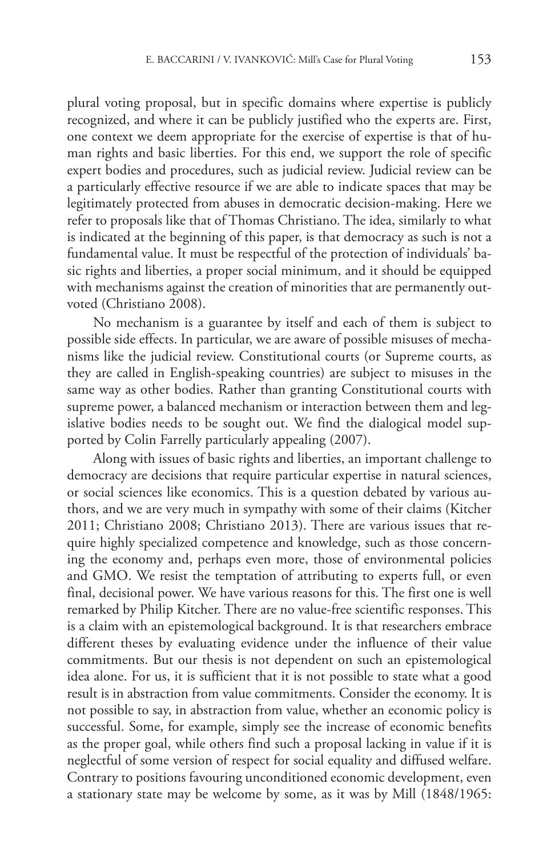plural voting proposal, but in specific domains where expertise is publicly recognized, and where it can be publicly justified who the experts are. First, one context we deem appropriate for the exercise of expertise is that of human rights and basic liberties. For this end, we support the role of specific expert bodies and procedures, such as judicial review. Judicial review can be a particularly effective resource if we are able to indicate spaces that may be legitimately protected from abuses in democratic decision-making. Here we refer to proposals like that of Thomas Christiano. The idea, similarly to what is indicated at the beginning of this paper, is that democracy as such is not a fundamental value. It must be respectful of the protection of individuals' basic rights and liberties, a proper social minimum, and it should be equipped with mechanisms against the creation of minorities that are permanently outvoted (Christiano 2008).

No mechanism is a guarantee by itself and each of them is subject to possible side effects. In particular, we are aware of possible misuses of mechanisms like the judicial review. Constitutional courts (or Supreme courts, as they are called in English-speaking countries) are subject to misuses in the same way as other bodies. Rather than granting Constitutional courts with supreme power, a balanced mechanism or interaction between them and legislative bodies needs to be sought out. We find the dialogical model supported by Colin Farrelly particularly appealing (2007).

Along with issues of basic rights and liberties, an important challenge to democracy are decisions that require particular expertise in natural sciences, or social sciences like economics. This is a question debated by various authors, and we are very much in sympathy with some of their claims (Kitcher 2011; Christiano 2008; Christiano 2013). There are various issues that require highly specialized competence and knowledge, such as those concerning the economy and, perhaps even more, those of environmental policies and GMO. We resist the temptation of attributing to experts full, or even final, decisional power. We have various reasons for this. The first one is well remarked by Philip Kitcher. There are no value-free scientific responses. This is a claim with an epistemological background. It is that researchers embrace different theses by evaluating evidence under the influence of their value commitments. But our thesis is not dependent on such an epistemological idea alone. For us, it is sufficient that it is not possible to state what a good result is in abstraction from value commitments. Consider the economy. It is not possible to say, in abstraction from value, whether an economic policy is successful. Some, for example, simply see the increase of economic benefits as the proper goal, while others find such a proposal lacking in value if it is neglectful of some version of respect for social equality and diffused welfare. Contrary to positions favouring unconditioned economic development, even a stationary state may be welcome by some, as it was by Mill (1848/1965: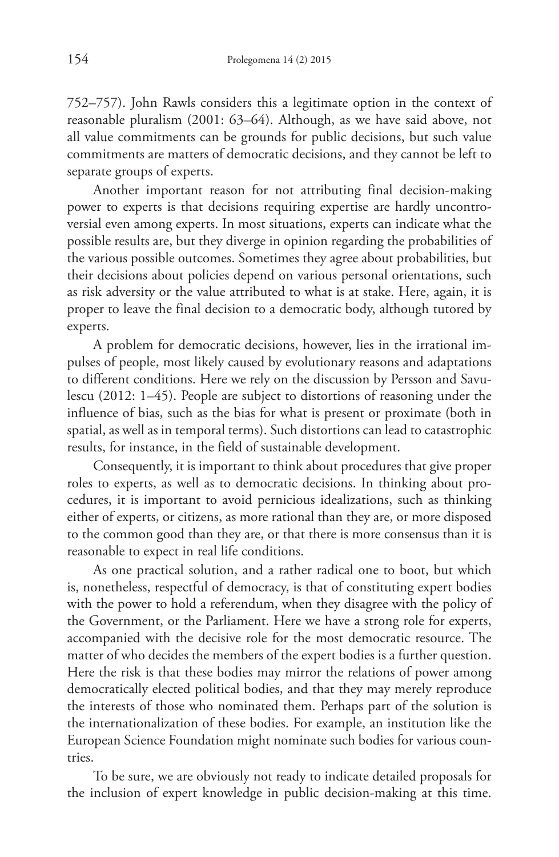752–757). John Rawls considers this a legitimate option in the context of reasonable pluralism (2001: 63–64). Although, as we have said above, not all value commitments can be grounds for public decisions, but such value commitments are matters of democratic decisions, and they cannot be left to separate groups of experts.

Another important reason for not attributing final decision-making power to experts is that decisions requiring expertise are hardly uncontroversial even among experts. In most situations, experts can indicate what the possible results are, but they diverge in opinion regarding the probabilities of the various possible outcomes. Sometimes they agree about probabilities, but their decisions about policies depend on various personal orientations, such as risk adversity or the value attributed to what is at stake. Here, again, it is proper to leave the final decision to a democratic body, although tutored by experts.

A problem for democratic decisions, however, lies in the irrational impulses of people, most likely caused by evolutionary reasons and adaptations to different conditions. Here we rely on the discussion by Persson and Savulescu (2012: 1–45). People are subject to distortions of reasoning under the influence of bias, such as the bias for what is present or proximate (both in spatial, as well as in temporal terms). Such distortions can lead to catastrophic results, for instance, in the field of sustainable development.

Consequently, it is important to think about procedures that give proper roles to experts, as well as to democratic decisions. In thinking about procedures, it is important to avoid pernicious idealizations, such as thinking either of experts, or citizens, as more rational than they are, or more disposed to the common good than they are, or that there is more consensus than it is reasonable to expect in real life conditions.

As one practical solution, and a rather radical one to boot, but which is, nonetheless, respectful of democracy, is that of constituting expert bodies with the power to hold a referendum, when they disagree with the policy of the Government, or the Parliament. Here we have a strong role for experts, accompanied with the decisive role for the most democratic resource. The matter of who decides the members of the expert bodies is a further question. Here the risk is that these bodies may mirror the relations of power among democratically elected political bodies, and that they may merely reproduce the interests of those who nominated them. Perhaps part of the solution is the internationalization of these bodies. For example, an institution like the European Science Foundation might nominate such bodies for various countries.

To be sure, we are obviously not ready to indicate detailed proposals for the inclusion of expert knowledge in public decision-making at this time.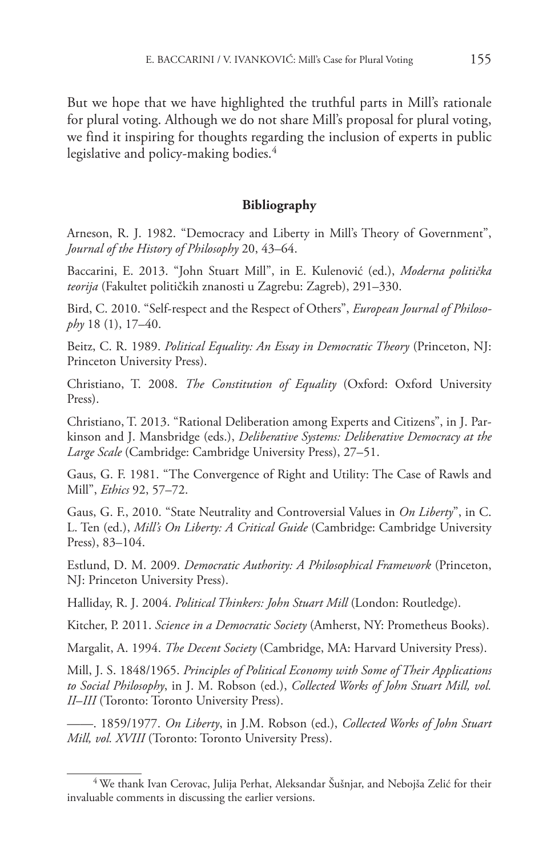But we hope that we have highlighted the truthful parts in Mill's rationale for plural voting. Although we do not share Mill's proposal for plural voting, we find it inspiring for thoughts regarding the inclusion of experts in public legislative and policy-making bodies. 4

#### **Bibliography**

Arneson, R. J. 1982. "Democracy and Liberty in Mill's Theory of Government", *Journal of the History of Philosophy* 20, 43–64.

Baccarini, E. 2013. "John Stuart Mill", in E. Kulenović (ed.), *Moderna politička teorija* (Fakultet političkih znanosti u Zagrebu: Zagreb), 291–330.

Bird, C. 2010. "Self-respect and the Respect of Others", *European Journal of Philosophy* 18 (1), 17–40.

Beitz, C. R. 1989. *Political Equality: An Essay in Democratic Theory* (Princeton, NJ: Princeton University Press).

Christiano, T. 2008. *The Constitution of Equality* (Oxford: Oxford University Press).

Christiano, T. 2013. "Rational Deliberation among Experts and Citizens", in J. Parkinson and J. Mansbridge (eds.), *Deliberative Systems: Deliberative Democracy at the Large Scale* (Cambridge: Cambridge University Press), 27–51.

Gaus, G. F. 1981. "The Convergence of Right and Utility: The Case of Rawls and Mill", *Ethics* 92, 57–72.

Gaus, G. F., 2010. "State Neutrality and Controversial Values in *On Liberty*", in C. L. Ten (ed.), *Mill's On Liberty: A Critical Guide* (Cambridge: Cambridge University Press), 83–104.

Estlund, D. M. 2009. *Democratic Authority: A Philosophical Framework* (Princeton, NJ: Princeton University Press).

Halliday, R. J. 2004. *Political Thinkers: John Stuart Mill* (London: Routledge).

Kitcher, P. 2011. *Science in a Democratic Society* (Amherst, NY: Prometheus Books).

Margalit, A. 1994. *The Decent Society* (Cambridge, MA: Harvard University Press).

Mill, J. S. 1848/1965. *Principles of Political Economy with Some of Their Applications to Social Philosophy*, in J. M. Robson (ed.), *Collected Works of John Stuart Mill, vol. II*–*III* (Toronto: Toronto University Press).

——. 1859/1977. *On Liberty*, in J.M. Robson (ed.), *Collected Works of John Stuart Mill, vol. XVIII* (Toronto: Toronto University Press).

<sup>&</sup>lt;sup>4</sup> We thank Ivan Cerovac, Julija Perhat, Aleksandar Šušnjar, and Nebojša Zelić for their invaluable comments in discussing the earlier versions.